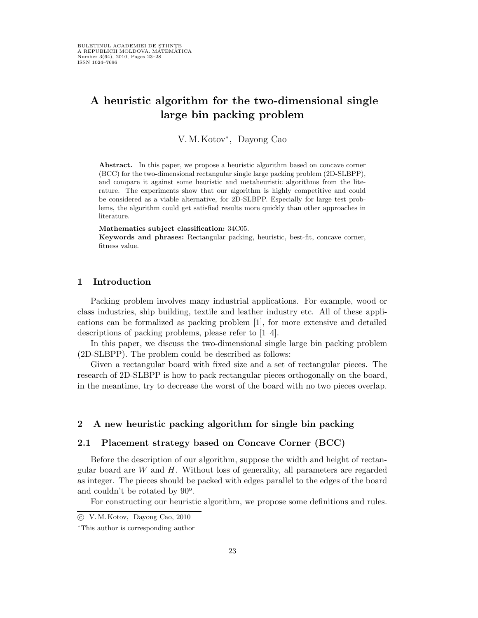# A heuristic algorithm for the two-dimensional single large bin packing problem

V.M.Kotov<sup>∗</sup> , Dayong Cao

Abstract. In this paper, we propose a heuristic algorithm based on concave corner (BCC) for the two-dimensional rectangular single large packing problem (2D-SLBPP), and compare it against some heuristic and metaheuristic algorithms from the literature. The experiments show that our algorithm is highly competitive and could be considered as a viable alternative, for 2D-SLBPP. Especially for large test problems, the algorithm could get satisfied results more quickly than other approaches in literature.

#### Mathematics subject classification: 34C05.

Keywords and phrases: Rectangular packing, heuristic, best-fit, concave corner, fitness value.

### 1 Introduction

Packing problem involves many industrial applications. For example, wood or class industries, ship building, textile and leather industry etc. All of these applications can be formalized as packing problem [1], for more extensive and detailed descriptions of packing problems, please refer to [1–4].

In this paper, we discuss the two-dimensional single large bin packing problem (2D-SLBPP). The problem could be described as follows:

Given a rectangular board with fixed size and a set of rectangular pieces. The research of 2D-SLBPP is how to pack rectangular pieces orthogonally on the board, in the meantime, try to decrease the worst of the board with no two pieces overlap.

### 2 A new heuristic packing algorithm for single bin packing

### 2.1 Placement strategy based on Concave Corner (BCC)

Before the description of our algorithm, suppose the width and height of rectangular board are  $W$  and  $H$ . Without loss of generality, all parameters are regarded as integer. The pieces should be packed with edges parallel to the edges of the board and couldn't be rotated by  $90^{\circ}$ .

For constructing our heuristic algorithm, we propose some definitions and rules.

c V. M. Kotov, Dayong Cao, 2010

<sup>∗</sup>This author is corresponding author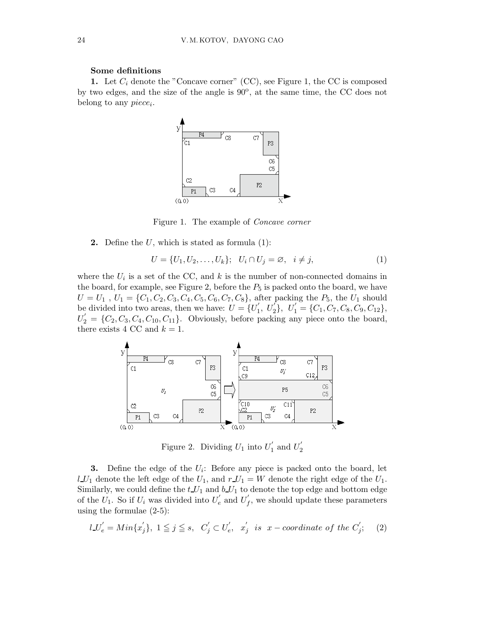### Some definitions

1. Let  $C_i$  denote the "Concave corner" (CC), see Figure 1, the CC is composed by two edges, and the size of the angle is  $90^{\circ}$ , at the same time, the CC does not belong to any  $piece_i$ .



Figure 1. The example of Concave corner

**2.** Define the  $U$ , which is stated as formula  $(1)$ :

$$
U = \{U_1, U_2, \dots, U_k\}; \quad U_i \cap U_j = \varnothing, \quad i \neq j,\tag{1}
$$

where the  $U_i$  is a set of the CC, and k is the number of non-connected domains in the board, for example, see Figure 2, before the  $P_5$  is packed onto the board, we have  $U = U_1$ ,  $U_1 = \{C_1, C_2, C_3, C_4, C_5, C_6, C_7, C_8\}$ , after packing the  $P_5$ , the  $U_1$  should be divided into two areas, then we have:  $U = \{U_1'$  $U'_1, U'_2$ ,  $U'_1 = \{C_1, C_7, C_8, C_9, C_{12}\},\$  $U_2' = \{C_2, C_3, C_4, C_{10}, C_{11}\}.$  Obviously, before packing any piece onto the board, there exists 4 CC and  $k = 1$ .



Figure 2. Dividing  $U_1$  into  $U_1'$  $\frac{1}{1}$  and  $U_2'$ 2

**3.** Define the edge of the  $U_i$ : Before any piece is packed onto the board, let  $l\_U_1$  denote the left edge of the  $U_1$ , and  $r\_U_1 = W$  denote the right edge of the  $U_1$ . Similarly, we could define the  $t_1 U_1$  and  $b_1 U_1$  to denote the top edge and bottom edge of the  $\hat{U_1}$ . So if  $U_i$  was divided into  $U'_e$  and  $U'_f$  $f$ , we should update these parameters using the formulae (2-5):

$$
l\_U'_{e} = Min\{x'_{j}\}, 1 \leq j \leq s, C'_{j} \subset U'_{e}, x'_{j} \text{ is } x-coordinate of the C'_{j};
$$
 (2)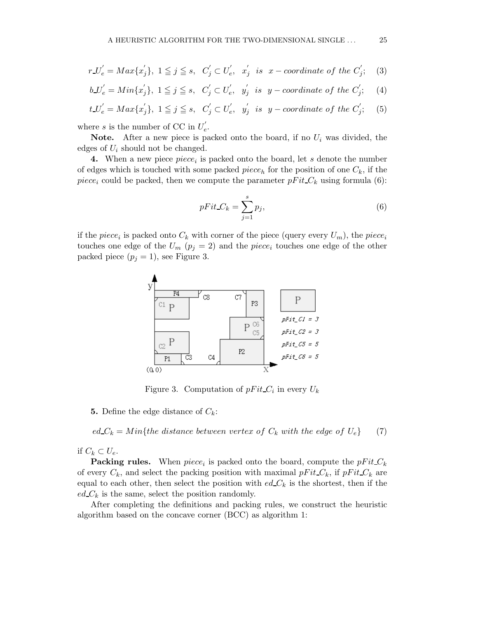$$
r_{-}U'_{e} = Max\{x'_{j}\}, \ 1 \leq j \leq s, \ C'_{j} \subset U'_{e}, \ x'_{j} \ \text{is} \ x-coordinate of the C'_{j}; \quad (3)
$$

$$
b\_\_\ e' = Min\{x_j'\}, \ 1 \leq j \leq s, \quad C_j' \subset U_e', \ \ y_j' \ \ is \ \ y-coordinate \ of \ the \ C_j'; \tag{4}
$$

$$
t_-U'_e = Max\{x'_j\}, \ 1 \leq j \leq s, \ C'_j \subset U'_e, \ y'_j \ \text{is} \ \ y - coordinate \ of \ the \ C'_j; \tag{5}
$$

where s is the number of CC in  $U'_{e}$ e .

**Note.** After a new piece is packed onto the board, if no  $U_i$  was divided, the edges of  $U_i$  should not be changed.

**4.** When a new piece  $piece_i$  is packed onto the board, let s denote the number of edges which is touched with some packed piece<sub>h</sub> for the position of one  $C_k$ , if the piece<sub>i</sub> could be packed, then we compute the parameter  $pFit_C_k$  using formula (6):

$$
pFit_C_k = \sum_{j=1}^{s} p_j,\tag{6}
$$

if the *piece<sub>i</sub>* is packed onto  $C_k$  with corner of the piece (query every  $U_m$ ), the *piece<sub>i</sub>* touches one edge of the  $U_m$  ( $p_j = 2$ ) and the piece<sub>i</sub> touches one edge of the other packed piece  $(p_j = 1)$ , see Figure 3.



Figure 3. Computation of  $pFit C_i$  in every  $U_k$ 

**5.** Define the edge distance of  $C_k$ :

 $ed_{\mathcal{L}_k} = Min\{the distance between vertex of C_k with the edge of U_e\}$  (7)

if  $C_k \subset U_e$ .

**Packing rules.** When  $piece_i$  is packed onto the board, compute the  $pFit_C_k$ of every  $C_k$ , and select the packing position with maximal  $pFit C_k$ , if  $pFit C_k$  are equal to each other, then select the position with  $ed_{\mathcal{L}_k}$  is the shortest, then if the  $ed_{\mathcal{C}}k$  is the same, select the position randomly.

After completing the definitions and packing rules, we construct the heuristic algorithm based on the concave corner (BCC) as algorithm 1: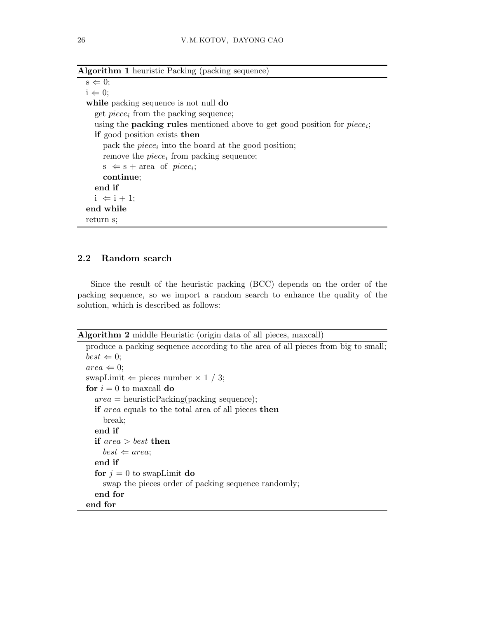| <b>Algorithm 1</b> heuristic Packing (packing sequence)                             |
|-------------------------------------------------------------------------------------|
| $s \Leftarrow 0;$                                                                   |
| $i \Leftarrow 0;$                                                                   |
| while packing sequence is not null do                                               |
| get $piece_i$ from the packing sequence;                                            |
| using the <b>packing rules</b> mentioned above to get good position for $piece_i$ ; |
| <b>if</b> good position exists then                                                 |
| pack the <i>piece</i> ; into the board at the good position;                        |
| remove the $piece_i$ from packing sequence;                                         |
| $s \Leftarrow s + area \text{ of } piece_i;$                                        |
| continue;                                                                           |
| end if                                                                              |
| $i \Leftarrow i + 1$ ;                                                              |
| end while                                                                           |
| return s;                                                                           |

## 2.2 Random search

Since the result of the heuristic packing (BCC) depends on the order of the packing sequence, so we import a random search to enhance the quality of the solution, which is described as follows:

### Algorithm 2 middle Heuristic (origin data of all pieces, maxcall)

```
produce a packing sequence according to the area of all pieces from big to small;
best \Leftarrow 0;area \Leftarrow 0;
swapLimit \Leftarrow pieces number \times 1 / 3;
for i = 0 to maxcall do
  area = heuristicPacking(packing sequence);if area equals to the total area of all pieces then
    break;
  end if
  if area > best then
    best \Leftarrow area;end if
  for j = 0 to swapLimit do
    swap the pieces order of packing sequence randomly;
  end for
end for
```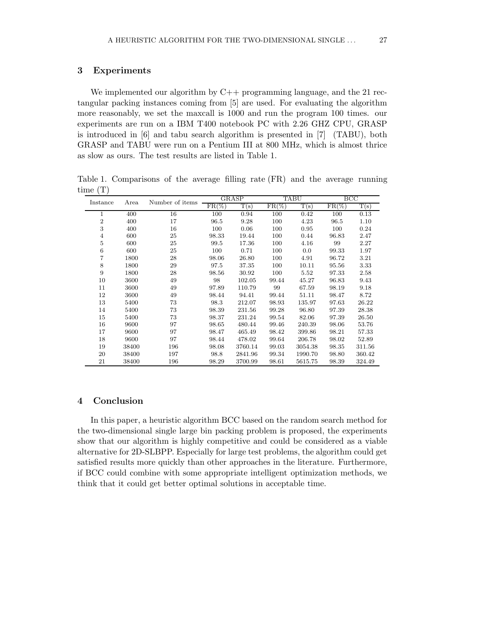### 3 Experiments

We implemented our algorithm by  $C_{++}$  programming language, and the 21 rectangular packing instances coming from [5] are used. For evaluating the algorithm more reasonably, we set the maxcall is 1000 and run the program 100 times. our experiments are run on a IBM T400 notebook PC with 2.26 GHZ CPU, GRASP is introduced in [6] and tabu search algorithm is presented in [7] (TABU), both GRASP and TABU were run on a Pentium III at 800 MHz, which is almost thrice as slow as ours. The test results are listed in Table 1.

Table 1. Comparisons of the average filling rate (FR) and the average running time (T)

| Instance         | Area  | Number of items | GRASP    |         | TABU     |         | $_{\rm BCC}$ |            |
|------------------|-------|-----------------|----------|---------|----------|---------|--------------|------------|
|                  |       |                 | $FR(\%)$ | T(s)    | $FR(\%)$ | T(s)    | $FR(\%)$     | $\rm T(s)$ |
| $\mathbf 1$      | 400   | 16              | 100      | 0.94    | 100      | 0.42    | 100          | 0.13       |
| $\boldsymbol{2}$ | 400   | 17              | 96.5     | 9.28    | 100      | 4.23    | 96.5         | 1.10       |
| 3                | 400   | 16              | 100      | 0.06    | 100      | 0.95    | 100          | 0.24       |
| $\overline{4}$   | 600   | 25              | 98.33    | 19.44   | 100      | 0.44    | 96.83        | 2.47       |
| $\bf 5$          | 600   | 25              | 99.5     | 17.36   | 100      | 4.16    | 99           | 2.27       |
| 6                | 600   | 25              | 100      | 0.71    | 100      | 0.0     | 99.33        | 1.97       |
| 7                | 1800  | 28              | 98.06    | 26.80   | 100      | 4.91    | 96.72        | 3.21       |
| 8                | 1800  | 29              | 97.5     | 37.35   | 100      | 10.11   | 95.56        | 3.33       |
| 9                | 1800  | 28              | 98.56    | 30.92   | 100      | 5.52    | 97.33        | 2.58       |
| 10               | 3600  | 49              | 98       | 102.05  | 99.44    | 45.27   | 96.83        | 9.43       |
| 11               | 3600  | 49              | 97.89    | 110.79  | 99       | 67.59   | 98.19        | 9.18       |
| 12               | 3600  | 49              | 98.44    | 94.41   | 99.44    | 51.11   | 98.47        | 8.72       |
| 13               | 5400  | 73              | 98.3     | 212.07  | 98.93    | 135.97  | 97.63        | 26.22      |
| 14               | 5400  | 73              | 98.39    | 231.56  | 99.28    | 96.80   | 97.39        | 28.38      |
| 15               | 5400  | 73              | 98.37    | 231.24  | 99.54    | 82.06   | 97.39        | 26.50      |
| 16               | 9600  | 97              | 98.65    | 480.44  | 99.46    | 240.39  | 98.06        | 53.76      |
| 17               | 9600  | 97              | 98.47    | 465.49  | 98.42    | 399.86  | 98.21        | 57.33      |
| 18               | 9600  | 97              | 98.44    | 478.02  | 99.64    | 206.78  | 98.02        | 52.89      |
| 19               | 38400 | 196             | 98.08    | 3760.14 | 99.03    | 3054.38 | 98.35        | 311.56     |
| 20               | 38400 | 197             | 98.8     | 2841.96 | 99.34    | 1990.70 | 98.80        | 360.42     |
| 21               | 38400 | 196             | 98.29    | 3700.99 | 98.61    | 5615.75 | 98.39        | 324.49     |

### 4 Conclusion

In this paper, a heuristic algorithm BCC based on the random search method for the two-dimensional single large bin packing problem is proposed, the experiments show that our algorithm is highly competitive and could be considered as a viable alternative for 2D-SLBPP. Especially for large test problems, the algorithm could get satisfied results more quickly than other approaches in the literature. Furthermore, if BCC could combine with some appropriate intelligent optimization methods, we think that it could get better optimal solutions in acceptable time.